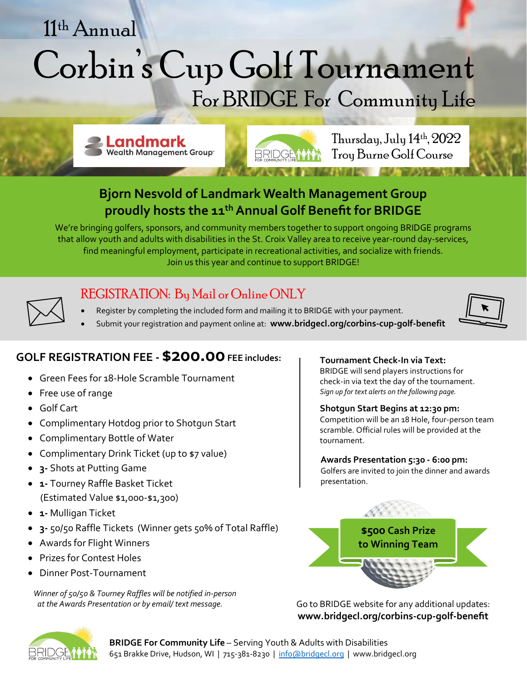# Corbin's Cup Golf Tournament For BRIDGE For Community Life 11 th Annual

**Landmark Wealth Management Group** 



Thursday, July 14 th, 2022 Troy Burne Golf Course

**河南 - 中国 - ハンマス** 

## **Bjorn Nesvold of Landmark Wealth Management Group proudly hosts the 11 thAnnual Golf Benefit for BRIDGE**

We're bringing golfers, sponsors, and community members together to support ongoing BRIDGE programs that allow youth and adults with disabilities in the St. Croix Valley area to receive year-round day-services, find meaningful employment, participate in recreational activities, and socialize with friends. Join us this year and continue to support BRIDGE!



## REGISTRATION: By Mail or Online ONLY

- Register by completing the included form and mailing it to BRIDGE with your payment.
- Submit your registration and payment online at: **www.bridgecl.org/corbins-cup-golf-benefit**



### **GOLF REGISTRATION FEE -\$200.00 FEE includes:**

- Green Fees for 18-Hole Scramble Tournament
- Free use of range
- Golf Cart
- Complimentary Hotdog prior to Shotgun Start
- Complimentary Bottle of Water
- Complimentary Drink Ticket (up to \$7 value)
- **3-** Shots at Putting Game
- **1-** Tourney Raffle Basket Ticket (Estimated Value \$1,000-\$1,300)
- **1-** Mulligan Ticket
- **3-** 50/50 Raffle Tickets (Winner gets 50% of Total Raffle)
- Awards for Flight Winners
- Prizes for Contest Holes
- Dinner Post-Tournament

*Winner of 50/50 & Tourney Raffles will be notified in-person at the Awards Presentation or by email/ text message.*

**Tournament Check-In via Text:** BRIDGE will send players instructions for check-in via text the day of the tournament. *Sign up for text alerts on the following page.*

#### **Shotgun Start Begins at 12:30 pm:**

Competition will be an 18 Hole, four-person team scramble. Official rules will be provided at the tournament.

#### **Awards Presentation 5:30 - 6:00 pm:**

Golfers are invited to join the dinner and awards presentation.



Go to BRIDGE website for any additional updates: **www.bridgecl.org/corbins-cup-golf-benefit**